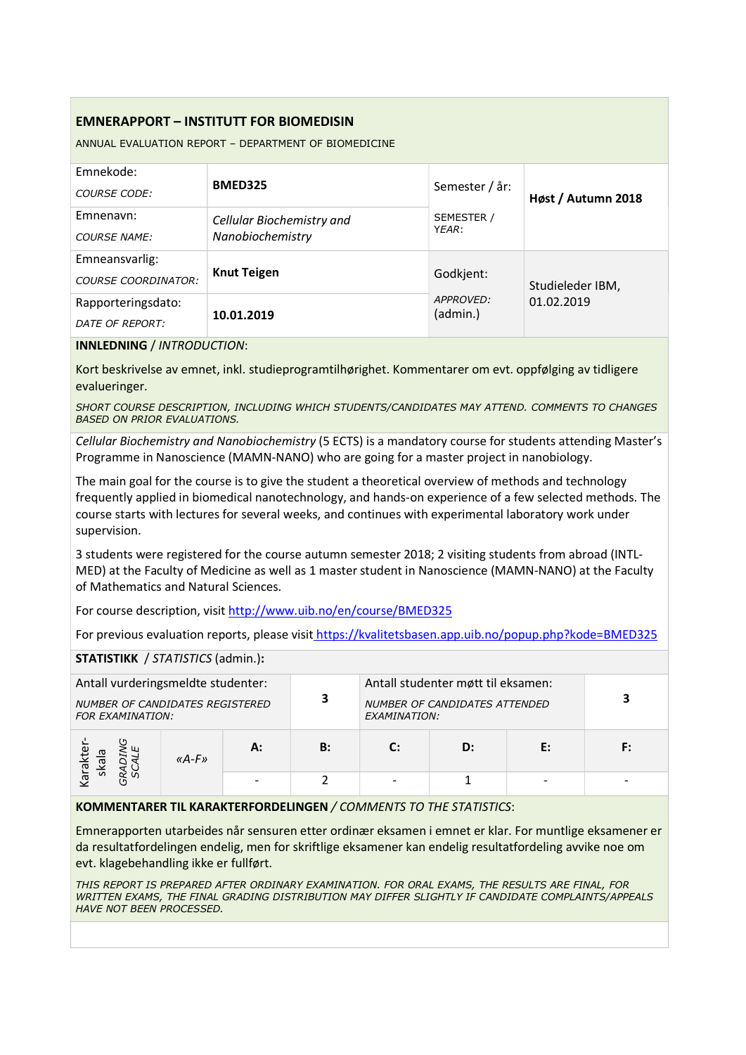# EMNERAPPORT – INSTITUTT FOR BIOMEDISIN

ANNUAL EVALUATION REPORT – DEPARTMENT OF BIOMEDICINE

| Emnekode:<br>COURSE CODE:                    | <b>BMED325</b>                                | Semester / år:        | Høst / Autumn 2018 |  |
|----------------------------------------------|-----------------------------------------------|-----------------------|--------------------|--|
| Emnenavn:<br><b>COURSE NAME:</b>             | Cellular Biochemistry and<br>Nanobiochemistry | SEMESTER /<br>YEAR:   |                    |  |
| Emneansvarlig:<br><b>COURSE COORDINATOR:</b> | <b>Knut Teigen</b>                            | Godkjent:             | Studieleder IBM,   |  |
| Rapporteringsdato:<br>DATE OF REPORT:        | 10.01.2019                                    | APPROVED:<br>(admin.) | 01.02.2019         |  |

#### INNLEDNING / INTRODUCTION:

Kort beskrivelse av emnet, inkl. studieprogramtilhørighet. Kommentarer om evt. oppfølging av tidligere evalueringer.

SHORT COURSE DESCRIPTION, INCLUDING WHICH STUDENTS/CANDIDATES MAY ATTEND. COMMENTS TO CHANGES BASED ON PRIOR EVALUATIONS.

Cellular Biochemistry and Nanobiochemistry (5 ECTS) is a mandatory course for students attending Master's Programme in Nanoscience (MAMN-NANO) who are going for a master project in nanobiology.

The main goal for the course is to give the student a theoretical overview of methods and technology frequently applied in biomedical nanotechnology, and hands-on experience of a few selected methods. The course starts with lectures for several weeks, and continues with experimental laboratory work under supervision.

3 students were registered for the course autumn semester 2018; 2 visiting students from abroad (INTL-MED) at the Faculty of Medicine as well as 1 master student in Nanoscience (MAMN-NANO) at the Faculty of Mathematics and Natural Sciences.

For course description, visit http://www.uib.no/en/course/BMED325

For previous evaluation reports, please visit https://kvalitetsbasen.app.uib.no/popup.php?kode=BMED325

## STATISTIKK / STATISTICS (admin.):

| Antall vurderingsmeldte studenter:<br>NUMBER OF CANDIDATES REGISTERED<br><b>FOR EXAMINATION:</b> |           | 3  | Antall studenter møtt til eksamen:<br><b>NUMBER OF CANDIDATES ATTENDED</b><br>EXAMINATION: |              |    |  |    |
|--------------------------------------------------------------------------------------------------|-----------|----|--------------------------------------------------------------------------------------------|--------------|----|--|----|
| ska<br>$\overline{e}$ .                                                                          | « $A$ -F» | А: | B:                                                                                         | $\mathbf{C}$ | D: |  | F: |
|                                                                                                  |           |    |                                                                                            |              |    |  |    |

### KOMMENTARER TIL KARAKTERFORDELINGEN / COMMENTS TO THE STATISTICS:

Emnerapporten utarbeides når sensuren etter ordinær eksamen i emnet er klar. For muntlige eksamener er da resultatfordelingen endelig, men for skriftlige eksamener kan endelig resultatfordeling avvike noe om evt. klagebehandling ikke er fullført.

THIS REPORT IS PREPARED AFTER ORDINARY EXAMINATION. FOR ORAL EXAMS, THE RESULTS ARE FINAL, FOR WRITTEN EXAMS, THE FINAL GRADING DISTRIBUTION MAY DIFFER SLIGHTLY IF CANDIDATE COMPLAINTS/APPEALS HAVE NOT BEEN PROCESSED.